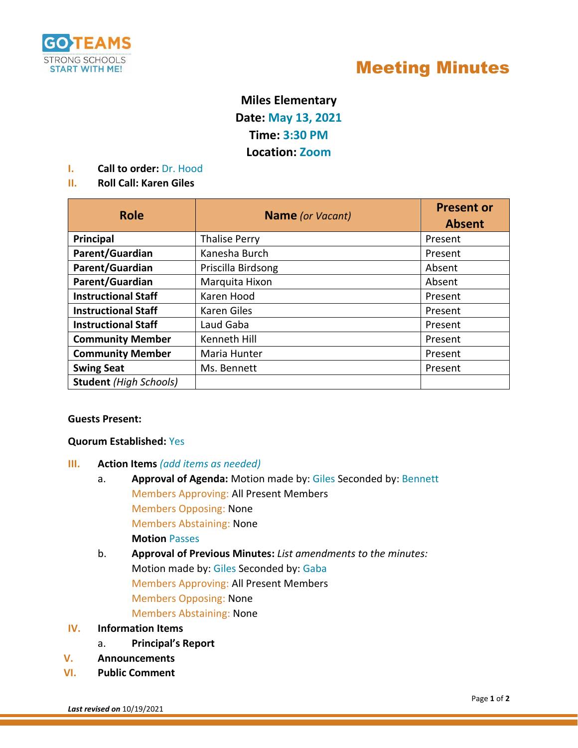

# Meeting Minutes

## **Miles Elementary**

**Date: May 13, 2021**

**Time: 3:30 PM**

**Location: Zoom** 

**I. Call to order:** Dr. Hood

### **II. Roll Call: Karen Giles**

| <b>Role</b>                   | <b>Name</b> (or Vacant) | <b>Present or</b><br><b>Absent</b> |
|-------------------------------|-------------------------|------------------------------------|
| Principal                     | <b>Thalise Perry</b>    | Present                            |
| Parent/Guardian               | Kanesha Burch           | Present                            |
| Parent/Guardian               | Priscilla Birdsong      | Absent                             |
| Parent/Guardian               | Marquita Hixon          | Absent                             |
| <b>Instructional Staff</b>    | Karen Hood              | Present                            |
| <b>Instructional Staff</b>    | Karen Giles             | Present                            |
| <b>Instructional Staff</b>    | Laud Gaba               | Present                            |
| <b>Community Member</b>       | Kenneth Hill            | Present                            |
| <b>Community Member</b>       | Maria Hunter            | Present                            |
| <b>Swing Seat</b>             | Ms. Bennett             | Present                            |
| <b>Student</b> (High Schools) |                         |                                    |

#### **Guests Present:**

### **Quorum Established:** Yes

- **III. Action Items** *(add items as needed)*
	- a. **Approval of Agenda:** Motion made by: Giles Seconded by: Bennett Members Approving: All Present Members Members Opposing: None Members Abstaining: None **Motion** Passes
	- b. **Approval of Previous Minutes:** *List amendments to the minutes:* Motion made by: Giles Seconded by: Gaba Members Approving: All Present Members Members Opposing: None Members Abstaining: None

### **IV. Information Items**

- a. **Principal's Report**
- **V. Announcements**
- **VI. Public Comment**